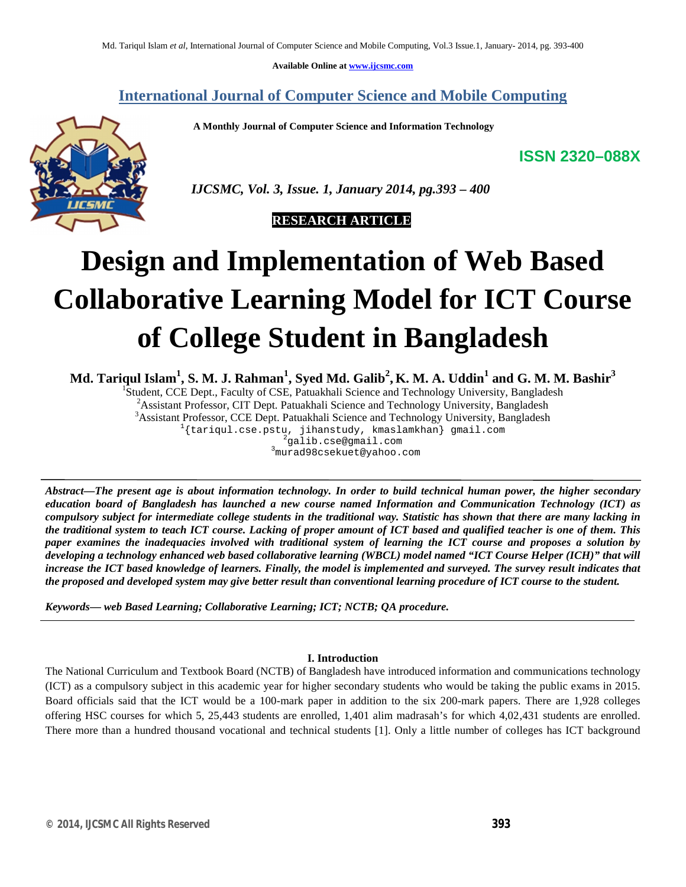**Available Online at www.ijcsmc.com**

# **International Journal of Computer Science and Mobile Computing**

 **A Monthly Journal of Computer Science and Information Technology**

**ISSN 2320–088X**



 *IJCSMC, Vol. 3, Issue. 1, January 2014, pg.393 – 400*

 **RESEARCH ARTICLE**

# **Design and Implementation of Web Based Collaborative Learning Model for ICT Course of College Student in Bangladesh**

**Md. Tariqul Islam<sup>1</sup> , S. M. J. Rahman<sup>1</sup> , Syed Md. Galib<sup>2</sup> , K. M. A. Uddin<sup>1</sup> and G. M. M. Bashir<sup>3</sup>**

<sup>1</sup>Student, CCE Dept., Faculty of CSE, Patuakhali Science and Technology University, Bangladesh

<sup>2</sup>Assistant Professor, CIT Dept. Patuakhali Science and Technology University, Bangladesh <sup>3</sup>Assistant Professor, CCE Dept. Patuakhali Science and Technology University, Bangladesh

 $1$ {tariqul.cse.pstu, jihanstudy, kmaslamkhan} gmail.com

<sup>2</sup>galib.cse@gmail.com

<sup>3</sup>murad98csekuet@yahoo.com

*Abstract—The present age is about information technology. In order to build technical human power, the higher secondary education board of Bangladesh has launched a new course named Information and Communication Technology (ICT) as compulsory subject for intermediate college students in the traditional way. Statistic has shown that there are many lacking in the traditional system to teach ICT course. Lacking of proper amount of ICT based and qualified teacher is one of them. This paper examines the inadequacies involved with traditional system of learning the ICT course and proposes a solution by developing a technology enhanced web based collaborative learning (WBCL) model named "ICT Course Helper (ICH)" that will increase the ICT based knowledge of learners. Finally, the model is implemented and surveyed. The survey result indicates that the proposed and developed system may give better result than conventional learning procedure of ICT course to the student.* 

*Keywords— web Based Learning; Collaborative Learning; ICT; NCTB; QA procedure.*

#### **I. Introduction**

The National Curriculum and Textbook Board (NCTB) of Bangladesh have introduced information and communications technology (ICT) as a compulsory subject in this academic year for higher secondary students who would be taking the public exams in 2015. Board officials said that the ICT would be a 100-mark paper in addition to the six 200-mark papers. There are 1,928 colleges offering HSC courses for which 5, 25,443 students are enrolled, 1,401 alim madrasah's for which 4,02,431 students are enrolled. There more than a hundred thousand vocational and technical students [1]. Only a little number of colleges has ICT background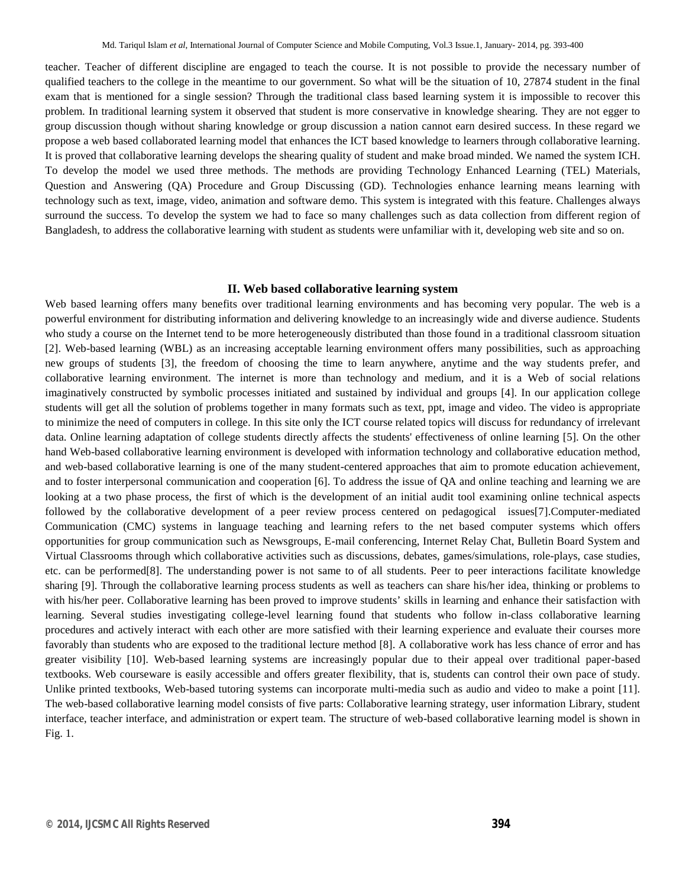teacher. Teacher of different discipline are engaged to teach the course. It is not possible to provide the necessary number of qualified teachers to the college in the meantime to our government. So what will be the situation of 10, 27874 student in the final exam that is mentioned for a single session? Through the traditional class based learning system it is impossible to recover this problem. In traditional learning system it observed that student is more conservative in knowledge shearing. They are not egger to group discussion though without sharing knowledge or group discussion a nation cannot earn desired success. In these regard we propose a web based collaborated learning model that enhances the ICT based knowledge to learners through collaborative learning. It is proved that collaborative learning develops the shearing quality of student and make broad minded. We named the system ICH. To develop the model we used three methods. The methods are providing Technology Enhanced Learning (TEL) Materials, Question and Answering (QA) Procedure and Group Discussing (GD). Technologies enhance learning means learning with technology such as text, image, video, animation and software demo. This system is integrated with this feature. Challenges always surround the success. To develop the system we had to face so many challenges such as data collection from different region of Bangladesh, to address the collaborative learning with student as students were unfamiliar with it, developing web site and so on.

#### **II. Web based collaborative learning system**

Web based learning offers many benefits over traditional learning environments and has becoming very popular. The web is a powerful environment for distributing information and delivering knowledge to an increasingly wide and diverse audience. Students who study a course on the Internet tend to be more heterogeneously distributed than those found in a traditional classroom situation [2]. Web-based learning (WBL) as an increasing acceptable learning environment offers many possibilities, such as approaching new groups of students [3], the freedom of choosing the time to learn anywhere, anytime and the way students prefer, and collaborative learning environment. The internet is more than technology and medium, and it is a Web of social relations imaginatively constructed by symbolic processes initiated and sustained by individual and groups [4]. In our application college students will get all the solution of problems together in many formats such as text, ppt, image and video. The video is appropriate to minimize the need of computers in college. In this site only the ICT course related topics will discuss for redundancy of irrelevant data. Online learning adaptation of college students directly affects the students' effectiveness of online learning [5]. On the other hand Web-based collaborative learning environment is developed with information technology and collaborative education method, and web-based collaborative learning is one of the many student-centered approaches that aim to promote education achievement, and to foster interpersonal communication and cooperation [6]. To address the issue of QA and online teaching and learning we are looking at a two phase process, the first of which is the development of an initial audit tool examining online technical aspects followed by the collaborative development of a peer review process centered on pedagogical issues[7].Computer-mediated Communication (CMC) systems in language teaching and learning refers to the net based computer systems which offers opportunities for group communication such as Newsgroups, E-mail conferencing, Internet Relay Chat, Bulletin Board System and Virtual Classrooms through which collaborative activities such as discussions, debates, games/simulations, role-plays, case studies, etc. can be performed[8]. The understanding power is not same to of all students. Peer to peer interactions facilitate knowledge sharing [9]. Through the collaborative learning process students as well as teachers can share his/her idea, thinking or problems to with his/her peer. Collaborative learning has been proved to improve students' skills in learning and enhance their satisfaction with learning. Several studies investigating college-level learning found that students who follow in-class collaborative learning procedures and actively interact with each other are more satisfied with their learning experience and evaluate their courses more favorably than students who are exposed to the traditional lecture method [8]. A collaborative work has less chance of error and has greater visibility [10]. Web-based learning systems are increasingly popular due to their appeal over traditional paper-based textbooks. Web courseware is easily accessible and offers greater flexibility, that is, students can control their own pace of study. Unlike printed textbooks, Web-based tutoring systems can incorporate multi-media such as audio and video to make a point [11]. The web-based collaborative learning model consists of five parts: Collaborative learning strategy, user information Library, student interface, teacher interface, and administration or expert team. The structure of web-based collaborative learning model is shown in Fig. 1.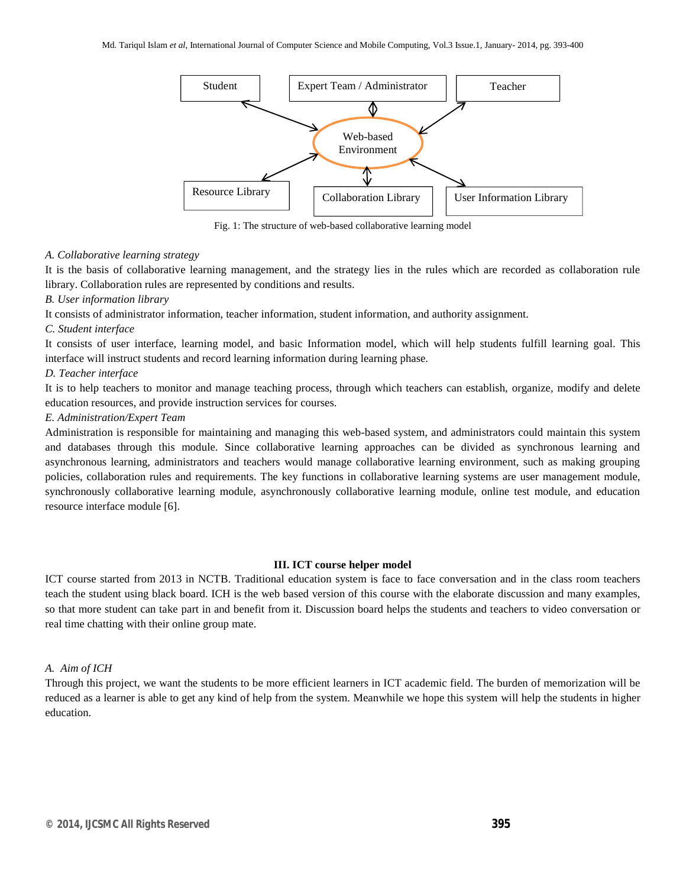

Fig. 1: The structure of web-based collaborative learning model

#### *A. Collaborative learning strategy*

It is the basis of collaborative learning management, and the strategy lies in the rules which are recorded as collaboration rule library. Collaboration rules are represented by conditions and results.

# *B. User information library*

It consists of administrator information, teacher information, student information, and authority assignment.

#### *C. Student interface*

It consists of user interface, learning model, and basic Information model, which will help students fulfill learning goal. This interface will instruct students and record learning information during learning phase.

# *D. Teacher interface*

It is to help teachers to monitor and manage teaching process, through which teachers can establish, organize, modify and delete education resources, and provide instruction services for courses.

# *E. Administration/Expert Team*

Administration is responsible for maintaining and managing this web-based system, and administrators could maintain this system and databases through this module. Since collaborative learning approaches can be divided as synchronous learning and asynchronous learning, administrators and teachers would manage collaborative learning environment, such as making grouping policies, collaboration rules and requirements. The key functions in collaborative learning systems are user management module, synchronously collaborative learning module, asynchronously collaborative learning module, online test module, and education resource interface module [6].

#### **III. ICT course helper model**

ICT course started from 2013 in NCTB. Traditional education system is face to face conversation and in the class room teachers teach the student using black board. ICH is the web based version of this course with the elaborate discussion and many examples, so that more student can take part in and benefit from it. Discussion board helps the students and teachers to video conversation or real time chatting with their online group mate.

#### *A. Aim of ICH*

Through this project, we want the students to be more efficient learners in ICT academic field. The burden of memorization will be reduced as a learner is able to get any kind of help from the system. Meanwhile we hope this system will help the students in higher education.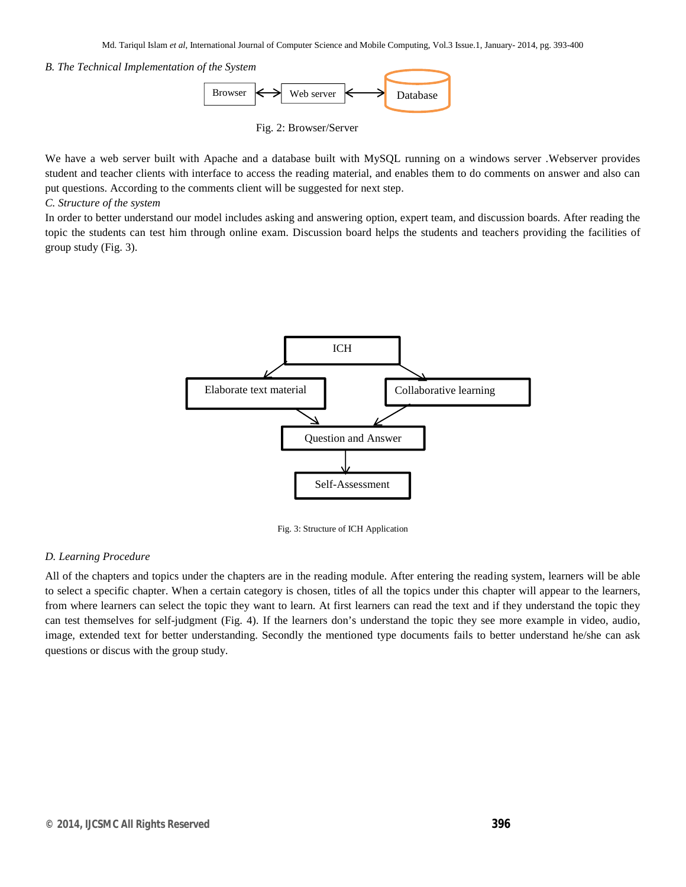#### *B. The Technical Implementation of the System*



Fig. 2: Browser/Server

We have a web server built with Apache and a database built with MySQL running on a windows server .Webserver provides student and teacher clients with interface to access the reading material, and enables them to do comments on answer and also can put questions. According to the comments client will be suggested for next step.

### *C. Structure of the system*

In order to better understand our model includes asking and answering option, expert team, and discussion boards. After reading the topic the students can test him through online exam. Discussion board helps the students and teachers providing the facilities of group study (Fig. 3).



Fig. 3: Structure of ICH Application

#### *D. Learning Procedure*

All of the chapters and topics under the chapters are in the reading module. After entering the reading system, learners will be able to select a specific chapter. When a certain category is chosen, titles of all the topics under this chapter will appear to the learners, from where learners can select the topic they want to learn. At first learners can read the text and if they understand the topic they can test themselves for self-judgment (Fig. 4). If the learners don's understand the topic they see more example in video, audio, image, extended text for better understanding. Secondly the mentioned type documents fails to better understand he/she can ask questions or discus with the group study.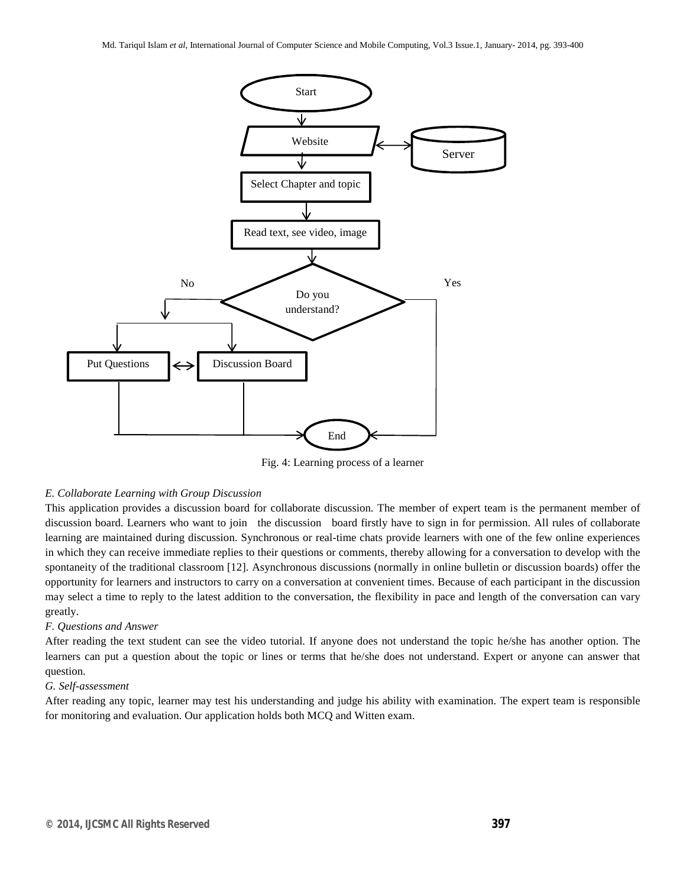

Fig. 4: Learning process of a learner

#### *E. Collaborate Learning with Group Discussion*

This application provides a discussion board for collaborate discussion. The member of expert team is the permanent member of discussion board. Learners who want to join the discussion board firstly have to sign in for permission. All rules of collaborate learning are maintained during discussion. Synchronous or real-time chats provide learners with one of the few online experiences in which they can receive immediate replies to their questions or comments, thereby allowing for a conversation to develop with the spontaneity of the traditional classroom [12]. Asynchronous discussions (normally in online bulletin or discussion boards) offer the opportunity for learners and instructors to carry on a conversation at convenient times. Because of each participant in the discussion may select a time to reply to the latest addition to the conversation, the flexibility in pace and length of the conversation can vary greatly.

#### *F. Questions and Answer*

After reading the text student can see the video tutorial. If anyone does not understand the topic he/she has another option. The learners can put a question about the topic or lines or terms that he/she does not understand. Expert or anyone can answer that question.

#### *G. Self-assessment*

After reading any topic, learner may test his understanding and judge his ability with examination. The expert team is responsible for monitoring and evaluation. Our application holds both MCQ and Witten exam.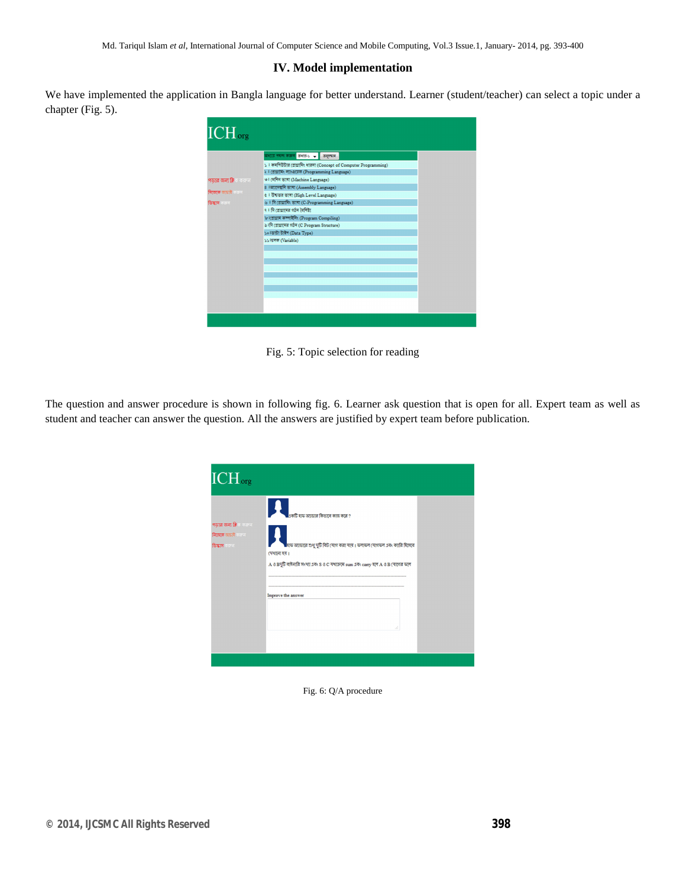# **IV. Model implementation**

We have implemented the application in Bangla language for better understand. Learner (student/teacher) can select a topic under a chapter (Fig. 5).



Fig. 5: Topic selection for reading

The question and answer procedure is shown in following fig. 6. Learner ask question that is open for all. Expert team as well as student and teacher can answer the question. All the answers are justified by expert team before publication.

| একটি যাফ অ্যাডার কিডাবে কাজ করে ?<br>পড়ার জন্য ক্লিক করক।<br><b>নিজকে আচাই করেল</b><br><mark>৷ হাফ অ্যাডারে শুধু দুটি বিট (</mark> যাগ করা যায়। ফলাফল (যাগফল এবং ক্যারি হিসেবে<br><b>ডিম্ভাস</b> অৱতা<br>(पश्चाला रूस।<br>$A$ ও Bদূটি বাইনারি সংখ্যা এবং S ও C যথাক্রমে sum এবং carry হলে A ও B (যাগের ফলে<br>Improve the answer | $\overline{\rm ICH_{\rm org}}$ |    |  |
|------------------------------------------------------------------------------------------------------------------------------------------------------------------------------------------------------------------------------------------------------------------------------------------------------------------------------------|--------------------------------|----|--|
|                                                                                                                                                                                                                                                                                                                                    |                                | ú. |  |

Fig. 6: Q/A procedure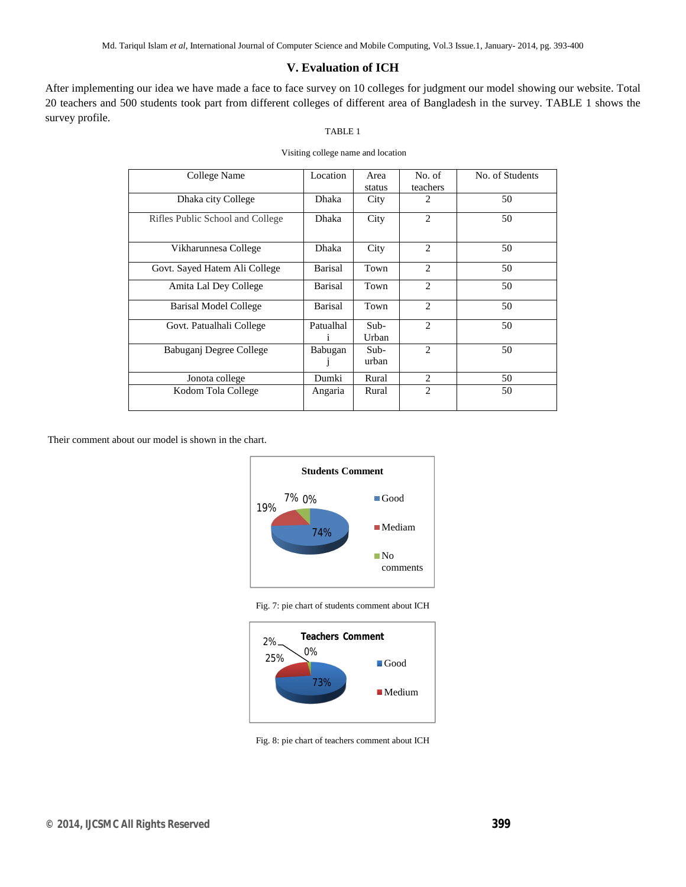# **V. Evaluation of ICH**

After implementing our idea we have made a face to face survey on 10 colleges for judgment our model showing our website. Total 20 teachers and 500 students took part from different colleges of different area of Bangladesh in the survey. TABLE 1 shows the survey profile.

# TABLE 1

| College Name                     | Location       | Area   | No. of         | No. of Students |
|----------------------------------|----------------|--------|----------------|-----------------|
|                                  |                | status | teachers       |                 |
| Dhaka city College               | <b>Dhaka</b>   | City   | 2              | 50              |
|                                  |                |        |                |                 |
| Rifles Public School and College | <b>Dhaka</b>   | City   | 2              | 50              |
|                                  |                |        |                |                 |
|                                  |                |        |                |                 |
| Vikharunnesa College             | Dhaka          | City   | 2              | 50              |
|                                  |                |        |                |                 |
| Govt. Sayed Hatem Ali College    | <b>Barisal</b> | Town   | $\overline{c}$ | 50              |
|                                  |                |        |                |                 |
| Amita Lal Dey College            | Barisal        | Town   | 2              | 50              |
|                                  |                |        |                |                 |
| Barisal Model College            | Barisal        | Town   | $\overline{2}$ | 50              |
|                                  |                |        |                |                 |
| Govt. Patualhali College         | Patualhal      | $Sub-$ | $\mathfrak{D}$ | 50              |
|                                  | i              | Urban  |                |                 |
| Babuganj Degree College          |                | $Sub-$ | $\overline{2}$ | 50              |
|                                  | Babugan        |        |                |                 |
|                                  | J              | urban  |                |                 |
| Jonota college                   | Dumki          | Rural  | $\overline{c}$ | 50              |
|                                  |                |        |                |                 |
| Kodom Tola College               | Angaria        | Rural  | 2              | 50              |
|                                  |                |        |                |                 |

Their comment about our model is shown in the chart.



Fig. 7: pie chart of students comment about ICH



Fig. 8: pie chart of teachers comment about ICH